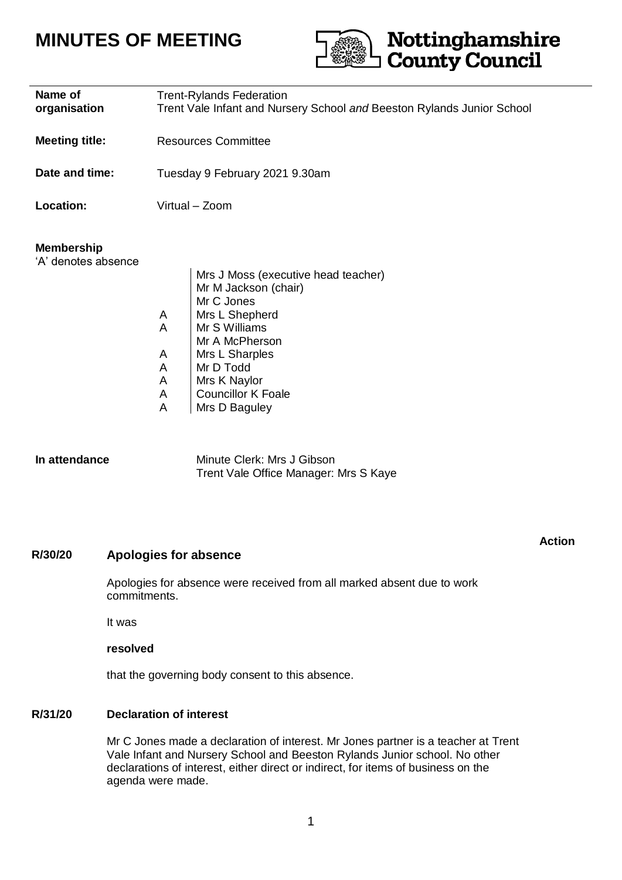# **MINUTES OF MEETING**



**Action**

| Name of<br>organisation                  | <b>Trent-Rylands Federation</b><br>Trent Vale Infant and Nursery School and Beeston Rylands Junior School                                                                                                                                                      |
|------------------------------------------|----------------------------------------------------------------------------------------------------------------------------------------------------------------------------------------------------------------------------------------------------------------|
| <b>Meeting title:</b>                    | <b>Resources Committee</b>                                                                                                                                                                                                                                     |
| Date and time:                           | Tuesday 9 February 2021 9.30am                                                                                                                                                                                                                                 |
| Location:                                | Virtual - Zoom                                                                                                                                                                                                                                                 |
| <b>Membership</b><br>'A' denotes absence | Mrs J Moss (executive head teacher)<br>Mr M Jackson (chair)<br>Mr C Jones<br>Mrs L Shepherd<br>A<br>Mr S Williams<br>A<br>Mr A McPherson<br>Mrs L Sharples<br>A<br>Mr D Todd<br>A<br>A<br>Mrs K Naylor<br><b>Councillor K Foale</b><br>A<br>A<br>Mrs D Baguley |
| In attendance                            | Minute Clerk: Mrs J Gibson<br>Trent Vale Office Manager: Mrs S Kaye                                                                                                                                                                                            |

### **R/30/20 Apologies for absence**

Apologies for absence were received from all marked absent due to work commitments.

It was

#### **resolved**

that the governing body consent to this absence.

### **R/31/20 Declaration of interest**

Mr C Jones made a declaration of interest. Mr Jones partner is a teacher at Trent Vale Infant and Nursery School and Beeston Rylands Junior school. No other declarations of interest, either direct or indirect, for items of business on the agenda were made.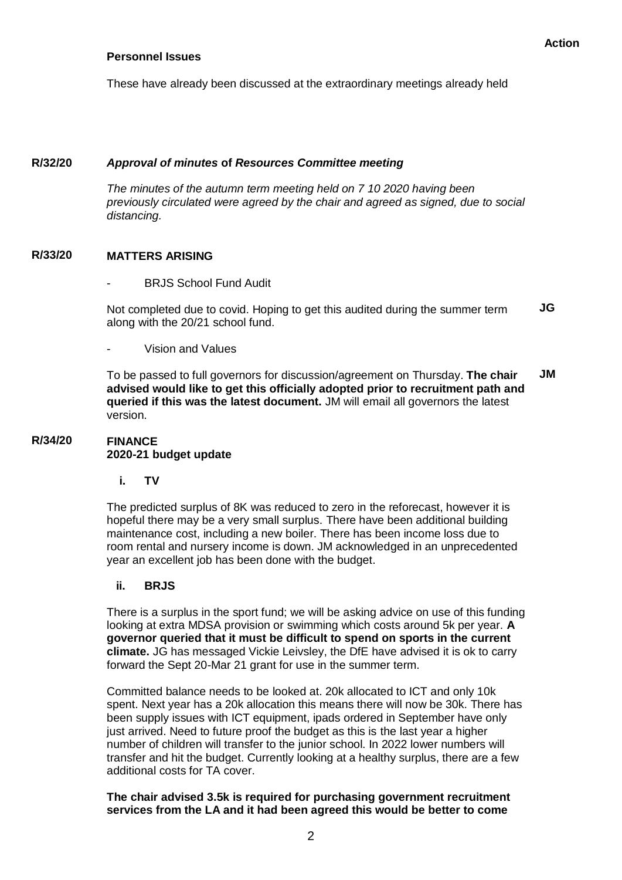#### **Personnel Issues**

These have already been discussed at the extraordinary meetings already held

#### **R/32/20** *Approval of minutes* **of** *Resources Committee meeting*

*The minutes of the autumn term meeting held on 7 10 2020 having been previously circulated were agreed by the chair and agreed as signed, due to social distancing.*

#### **R/33/20 MATTERS ARISING**

BRJS School Fund Audit

Not completed due to covid. Hoping to get this audited during the summer term along with the 20/21 school fund. **JG**

- Vision and Values

To be passed to full governors for discussion/agreement on Thursday. **The chair advised would like to get this officially adopted prior to recruitment path and queried if this was the latest document.** JM will email all governors the latest version. **JM**

#### **R/34/20 FINANCE 2020-21 budget update**

**i. TV**

The predicted surplus of 8K was reduced to zero in the reforecast, however it is hopeful there may be a very small surplus. There have been additional building maintenance cost, including a new boiler. There has been income loss due to room rental and nursery income is down. JM acknowledged in an unprecedented year an excellent job has been done with the budget.

#### **ii. BRJS**

There is a surplus in the sport fund; we will be asking advice on use of this funding looking at extra MDSA provision or swimming which costs around 5k per year. **A governor queried that it must be difficult to spend on sports in the current climate.** JG has messaged Vickie Leivsley, the DfE have advised it is ok to carry forward the Sept 20-Mar 21 grant for use in the summer term.

Committed balance needs to be looked at. 20k allocated to ICT and only 10k spent. Next year has a 20k allocation this means there will now be 30k. There has been supply issues with ICT equipment, ipads ordered in September have only just arrived. Need to future proof the budget as this is the last year a higher number of children will transfer to the junior school. In 2022 lower numbers will transfer and hit the budget. Currently looking at a healthy surplus, there are a few additional costs for TA cover.

### **The chair advised 3.5k is required for purchasing government recruitment services from the LA and it had been agreed this would be better to come**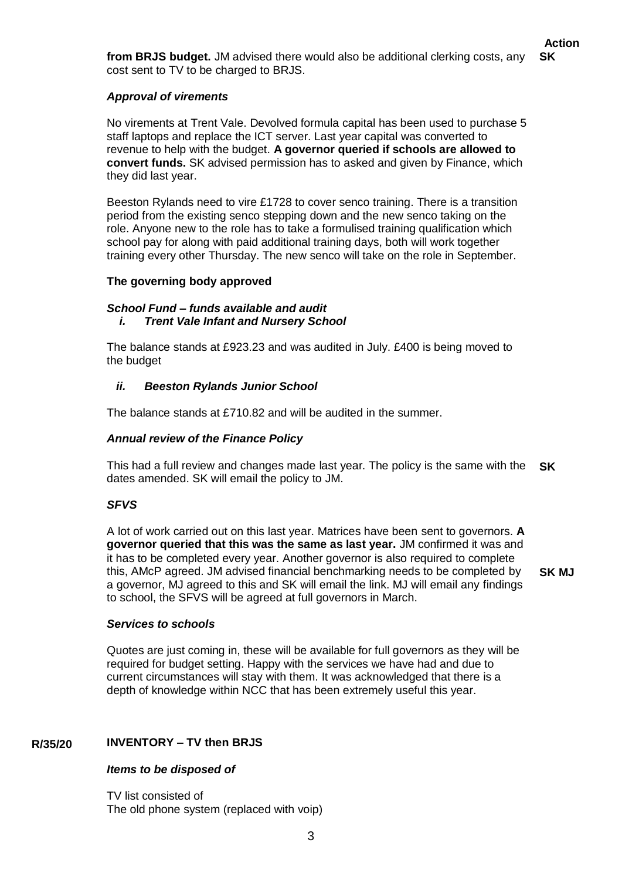**from BRJS budget.** JM advised there would also be additional clerking costs, any cost sent to TV to be charged to BRJS. **SK**

# *Approval of virements*

No virements at Trent Vale. Devolved formula capital has been used to purchase 5 staff laptops and replace the ICT server. Last year capital was converted to revenue to help with the budget. **A governor queried if schools are allowed to convert funds.** SK advised permission has to asked and given by Finance, which they did last year.

Beeston Rylands need to vire £1728 to cover senco training. There is a transition period from the existing senco stepping down and the new senco taking on the role. Anyone new to the role has to take a formulised training qualification which school pay for along with paid additional training days, both will work together training every other Thursday. The new senco will take on the role in September.

### **The governing body approved**

### *School Fund – funds available and audit i. Trent Vale Infant and Nursery School*

The balance stands at £923.23 and was audited in July. £400 is being moved to the budget

### *ii. Beeston Rylands Junior School*

The balance stands at £710.82 and will be audited in the summer.

### *Annual review of the Finance Policy*

This had a full review and changes made last year. The policy is the same with the **SK** dates amended. SK will email the policy to JM.

# *SFVS*

A lot of work carried out on this last year. Matrices have been sent to governors. **A governor queried that this was the same as last year.** JM confirmed it was and it has to be completed every year. Another governor is also required to complete this, AMcP agreed. JM advised financial benchmarking needs to be completed by a governor, MJ agreed to this and SK will email the link. MJ will email any findings to school, the SFVS will be agreed at full governors in March.

**SK MJ**

#### *Services to schools*

Quotes are just coming in, these will be available for full governors as they will be required for budget setting. Happy with the services we have had and due to current circumstances will stay with them. It was acknowledged that there is a depth of knowledge within NCC that has been extremely useful this year.

#### **R/35/20 INVENTORY – TV then BRJS**

# *Items to be disposed of*

TV list consisted of The old phone system (replaced with voip)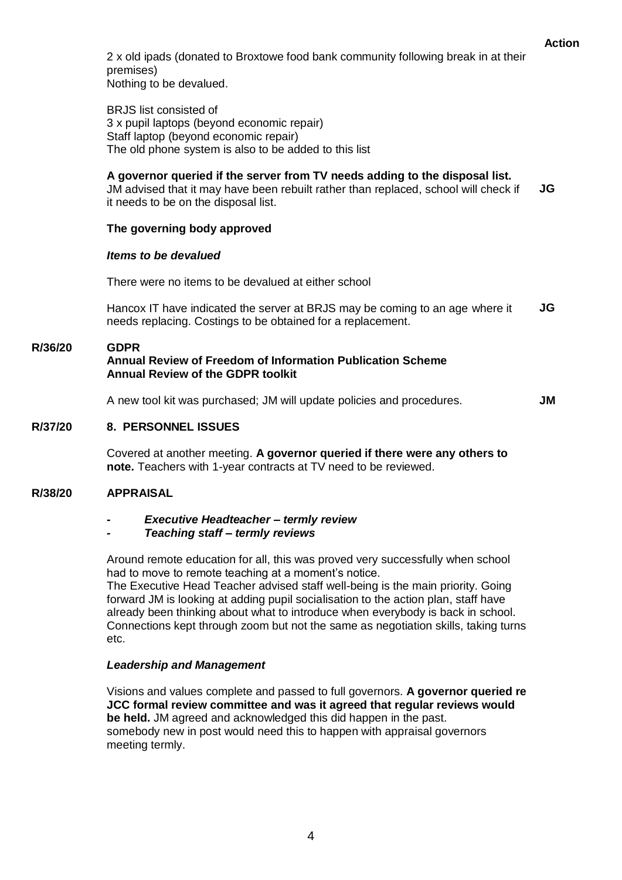2 x old ipads (donated to Broxtowe food bank community following break in at their premises)

Nothing to be devalued.

BRJS list consisted of 3 x pupil laptops (beyond economic repair) Staff laptop (beyond economic repair) The old phone system is also to be added to this list

### **A governor queried if the server from TV needs adding to the disposal list.**

JM advised that it may have been rebuilt rather than replaced, school will check if it needs to be on the disposal list. **JG**

### **The governing body approved**

#### *Items to be devalued*

There were no items to be devalued at either school

Hancox IT have indicated the server at BRJS may be coming to an age where it needs replacing. Costings to be obtained for a replacement. **JG**

#### **R/36/20 GDPR Annual Review of Freedom of Information Publication Scheme Annual Review of the GDPR toolkit**

A new tool kit was purchased; JM will update policies and procedures.

**JM**

 **Action**

#### **R/37/20 8. PERSONNEL ISSUES**

Covered at another meeting. **A governor queried if there were any others to note.** Teachers with 1-year contracts at TV need to be reviewed.

#### **R/38/20 APPRAISAL**

#### **-** *Executive Headteacher – termly review*

#### *- Teaching staff – termly reviews*

Around remote education for all, this was proved very successfully when school had to move to remote teaching at a moment's notice.

The Executive Head Teacher advised staff well-being is the main priority. Going forward JM is looking at adding pupil socialisation to the action plan, staff have already been thinking about what to introduce when everybody is back in school. Connections kept through zoom but not the same as negotiation skills, taking turns etc.

#### *Leadership and Management*

Visions and values complete and passed to full governors. **A governor queried re JCC formal review committee and was it agreed that regular reviews would be held.** JM agreed and acknowledged this did happen in the past. somebody new in post would need this to happen with appraisal governors meeting termly.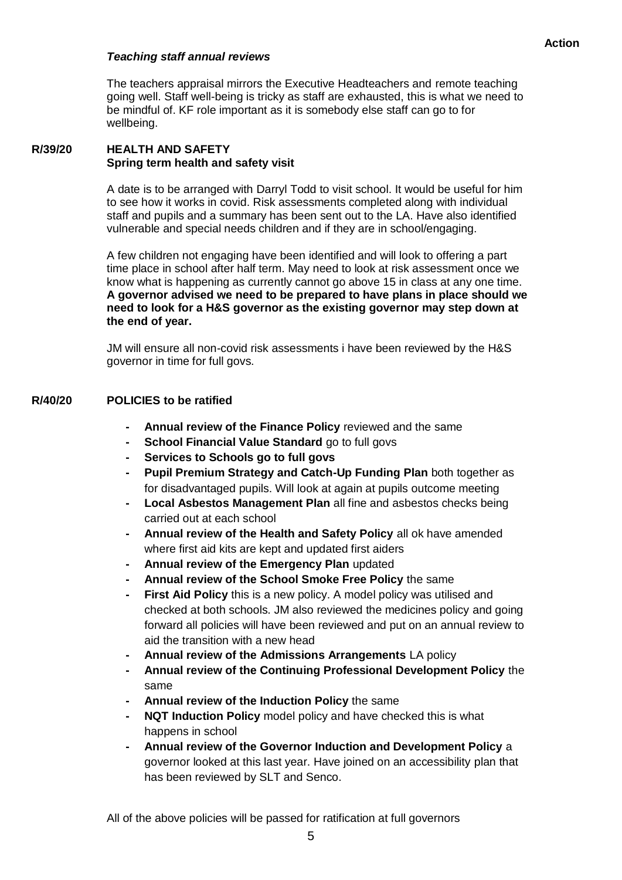### *Teaching staff annual reviews*

The teachers appraisal mirrors the Executive Headteachers and remote teaching going well. Staff well-being is tricky as staff are exhausted, this is what we need to be mindful of. KF role important as it is somebody else staff can go to for wellbeing.

#### **R/39/20 HEALTH AND SAFETY Spring term health and safety visit**

A date is to be arranged with Darryl Todd to visit school. It would be useful for him to see how it works in covid. Risk assessments completed along with individual staff and pupils and a summary has been sent out to the LA. Have also identified vulnerable and special needs children and if they are in school/engaging.

A few children not engaging have been identified and will look to offering a part time place in school after half term. May need to look at risk assessment once we know what is happening as currently cannot go above 15 in class at any one time. **A governor advised we need to be prepared to have plans in place should we need to look for a H&S governor as the existing governor may step down at the end of year.** 

JM will ensure all non-covid risk assessments i have been reviewed by the H&S governor in time for full govs.

#### **R/40/20 POLICIES to be ratified**

- **- Annual review of the Finance Policy** reviewed and the same
- **- School Financial Value Standard** go to full govs
- **- Services to Schools go to full govs**
- **- Pupil Premium Strategy and Catch-Up Funding Plan** both together as for disadvantaged pupils. Will look at again at pupils outcome meeting
- **- Local Asbestos Management Plan** all fine and asbestos checks being carried out at each school
- **- Annual review of the Health and Safety Policy** all ok have amended where first aid kits are kept and updated first aiders
- **- Annual review of the Emergency Plan** updated
- **- Annual review of the School Smoke Free Policy** the same
- **First Aid Policy** this is a new policy. A model policy was utilised and checked at both schools. JM also reviewed the medicines policy and going forward all policies will have been reviewed and put on an annual review to aid the transition with a new head
- **- Annual review of the Admissions Arrangements** LA policy
- **- Annual review of the Continuing Professional Development Policy** the same
- **- Annual review of the Induction Policy** the same
- **- NQT Induction Policy** model policy and have checked this is what happens in school
- **- Annual review of the Governor Induction and Development Policy** a governor looked at this last year. Have joined on an accessibility plan that has been reviewed by SLT and Senco.

All of the above policies will be passed for ratification at full governors